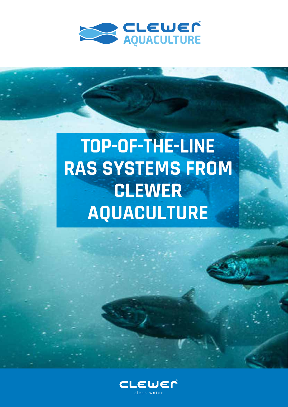

# **TOP-OF-THE-LINE RAS SYSTEMS FROM CLEWER AQUACULTURE**

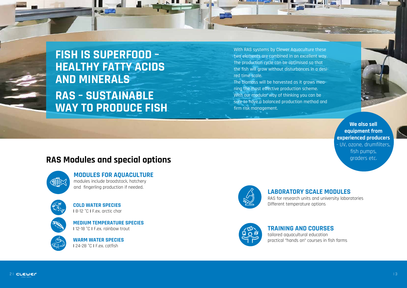clean water



firm risk management.

**COLD WATER SPECIES |** 8-12 °C **|** F.ex. arctic char



**MEDIUM TEMPERATURE SPECIES |** 12-18 °C **|** F.ex. rainbow trout



**WARM WATER SPECIES |** 24-28 °C **|** F.ex. catfish



**We also sell equipment from experienced producers** - UV, ozone, drumfilters, fish pumps, graders etc.

**MODULES FOR AQUACULTURE** 

modules include broodstock, hatchery and fingerling production if needed.



## **LABORATORY SCALE MODULES**

RAS for research units and university laboratories Different temperature options



**TRAINING AND COURSES** tailored aquacultural education practical "hands on" courses in fish farms

## **RAS Modules and special options**

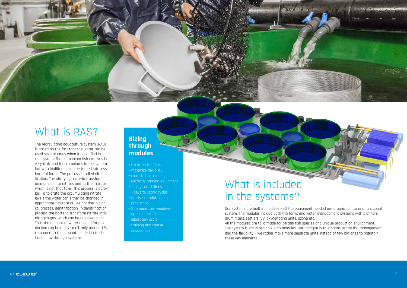





# What is RAS?

The recirculating aquaculture system (RAS) is based on the fact that the water can be used several times when it is purified in the system. The ammonium fish excretes is very toxic and it accumulates in the system, but with biofilters it can be turned into less harmful forms. The process is called nitrification. The nitrifying bacteria transform ammonium into nitrites and further nitrate, which is not that toxic. This process is aerobic. To tolerate the accumulating nitrate levels the water can either be changed in appropriate flowrate or use another biological process, denitrification. In denitrification process the bacteria transform nitrate into nitrogen gas, which can be released in air. Thus the amount of water needed for production can be really small, only around 1 % compared to the amount needed in traditional flow-through systems.

## **Sizing through modules**

- minimize the risks
- maximize flexibility
- correct dimensioning
- perfectly running equipment
- timing possibilities – several yearly cycles • precise calculations for production
- 3 temperature windows
- options also for
- laboratory scale
- training and course possibilities

# What is included in the systems?

Our systems are built in modules – all the equipment needed are organized into one functional system. The modules include both the tanks and water management systems with biofilters, drum filters, settlers, UV, oxygenating units, ozone etc. All the modules are tailormade for certain fish species and unique production environment. The system is easily scalable with modules. Our principle is to emphasize the risk management and the flexibility – we rather make more separate units instead of few big ones to maintain these key elements.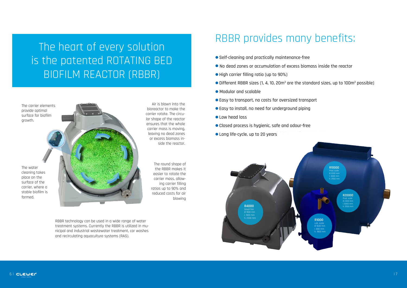

# The heart of every solution is the patented ROTATING BED BIOFILM REACTOR (RBBR)

The carrier elements provide optimal surface for biofilm growth.

> The round shape of the RBBR makes it easier to rotate the carrier mass, allowing carrier filling ratios up to 90% and reduced costs for air blowing

Air is blown into the bioreactor to make the carrier rotate. The circular shape of the reactor ensures that the whole carrier mass is moving, leaving no dead zones or excess biomass inside the reactor.

RBBR technology can be used in a wide range of water treatment systems. Currently the RBBR is utilized in municipal and industrial wastewater treatment, car washes and recirculating aquaculture systems (RAS).

The water cleaning takes place on the surface of the carrier, where a stable biofilm is formed.

# RBBR provides many benefits:

- l Self-cleaning and practically maintenance-free
- $\bullet$  No dead zones or accumulation of excess biomass inside the reactor
- l High carrier filling ratio (up to 90%)
- $\bullet$  Different RBBR sizes (1, 4, 10, 20 $\text{m}^3$  are the standard sizes, up to 100 $\text{m}^3$  possible)
- $\bullet$  Modular and scalable
- l Easy to transport, no costs for oversized transport
- l Easy to install, no need for underground piping
- l Low head loss
- l Closed process is hygienic, safe and odour-free
- l Long life-cycle, up to 20 years

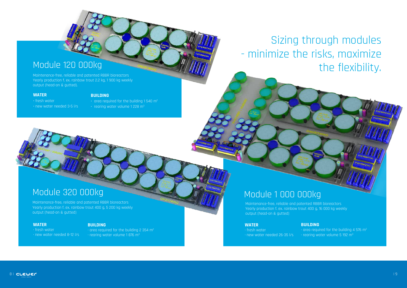

## **WATER**

· fresh water · new water needed 26-35 l/s

## **BUILDING**

 $\cdot$  area required for the building 4 576 m<sup>2</sup> · rearing water volume 5 192 m3

## Module 1 000 000kg

Maintenance-free, reliable and patented RBBR bioreactors Yearly production f. ex. rainbow trout 400 g, 16 000 kg weekly output (head-on & gutted)

- fresh water
- new water needed 3-5 l/s
- $\cdot$  area required for the building 1540 m<sup>2</sup>
- $\cdot$  rearing water volume 1 228 m<sup>3</sup>

Maintenance-free, reliable and patented RBBR bioreactors Yearly production f. ex. rainbow trout 2.2 kg, 1 900 kg weekly output (head-on & gutted).

Maintenance-free, reliable and patented RBBR bioreactors Yearly production f. ex. rainbow trout 400 g, 5 200 kg weekly output (head-on & gutted)

### **WATER**

- · fresh water
- · new water needed 8-12 l/s

 $\cdot$  area required for the building 2 354 m<sup>2</sup>  $\cdot$  rearing water volume 1876 m<sup>3</sup>

### **WATER**

### **BUILDING**

## **BUILDING**

## Module 120 000kg

## Module 320 000kg

Sizing through modules - minimize the risks, maximize the flexibility.

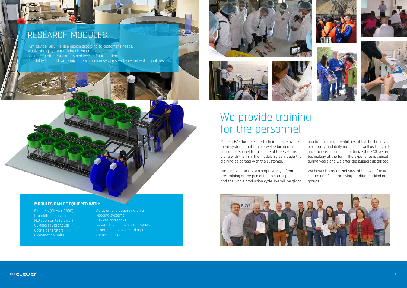





# We provide training for the personnel

Biofilters (Clewer RBBR) Drumfilters (Faivre) Flotation units (Clewer) UV-filters (UltraAqua) Ozone generators Oxygenation units

### Aeration and degassing units Feeding systems Devices and tanks Research equipment and meters Other equipment according to customer's need





Modern RAS facilities are technical, high-investment systems that require well-educated and trained personnel to take care of the systems along with the fish. The module sales include the training as agreed with the customer.

Our aim is to be there along the way – from pre-training of the personnel to start-up phase and the whole production cycle. We will be giving



practical training possibilities of fish husbandry, biosecurity and daily routines as well as the guidance to use, control and optimize the RAS system technology of the farm. The experience is gained during years and we offer the support as agreed.

We have also organized several courses of aquaculture and fish processing for different kind of groups.



## RESEARCH MODULES

Turn-key delivery, flexible design according to customer's needs. Whole piping system can be above ground. Scalable to different extents and levels of automation. Possibility to select watering for each tank in systems with several water qualities.